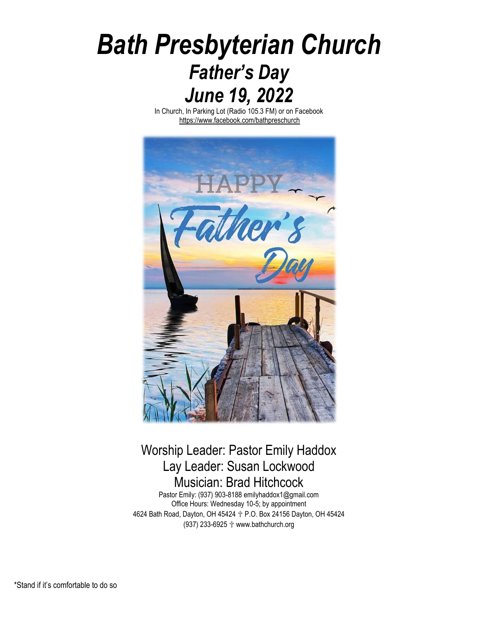# *Bath Presbyterian Church Father's Day June 19, 2022*

In Church, In Parking Lot (Radio 105.3 FM) or on Facebook <https://www.facebook.com/bathpreschurch>



# Worship Leader: Pastor Emily Haddox Lay Leader: Susan Lockwood Musician: Brad Hitchcock

Pastor Emily: (937) 903-8188 emilyhaddox1@gmail.com Office Hours: Wednesday 10-5; by appointment 4624 Bath Road, Dayton, OH 45424 ✞ P.O. Box 24156 Dayton, OH 45424 (937) 233-6925 ✞ www.bathchurch.org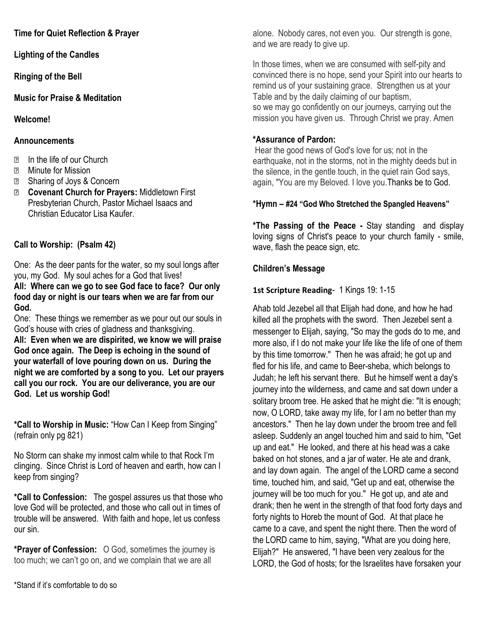**Time for Quiet Reflection & Prayer**

**Lighting of the Candles**

**Ringing of the Bell** 

**Music for Praise & Meditation**

**Welcome!**

#### **Announcements**

- ⮚ In the life of our Church
- ⮚ Minute for Mission
- **Ell** Sharing of Joys & Concern
- ⮚ **Covenant Church for Prayers:** Middletown First Presbyterian Church, Pastor Michael Isaacs and Christian Educator Lisa Kaufer.

# **Call to Worship: (Psalm 42)**

One: As the deer pants for the water, so my soul longs after you, my God. My soul aches for a God that lives! **All: Where can we go to see God face to face? Our only food day or night is our tears when we are far from our God.**

One: These things we remember as we pour out our souls in God's house with cries of gladness and thanksgiving. **All: Even when we are dispirited, we know we will praise God once again. The Deep is echoing in the sound of your waterfall of love pouring down on us. During the night we are comforted by a song to you. Let our prayers call you our rock. You are our deliverance, you are our God. Let us worship God!**

**\*Call to Worship in Music:** "How Can I Keep from Singing" (refrain only pg 821)

No Storm can shake my inmost calm while to that Rock I'm clinging. Since Christ is Lord of heaven and earth, how can I keep from singing?

**\*Call to Confession:** The gospel assures us that those who love God will be protected, and those who call out in times of trouble will be answered. With faith and hope, let us confess our sin.

**\*Prayer of Confession:** O God, sometimes the journey is too much; we can't go on, and we complain that we are all

alone. Nobody cares, not even you. Our strength is gone, and we are ready to give up.

In those times, when we are consumed with self-pity and convinced there is no hope, send your Spirit into our hearts to remind us of your sustaining grace. Strengthen us at your Table and by the daily claiming of our baptism, so we may go confidently on our journeys, carrying out the mission you have given us. Through Christ we pray. Amen

## **\*Assurance of Pardon:**

Hear the good news of God's love for us; not in the earthquake, not in the storms, not in the mighty deeds but in the silence, in the gentle touch, in the quiet rain God says, again, "You are my Beloved. I love you.Thanks be to God.

## **\*Hymn – #24 "God Who Stretched the Spangled Heavens"**

**\*The Passing of the Peace -** Stay standing and display loving signs of Christ's peace to your church family - smile, wave, flash the peace sign, etc.

#### **Children's Message**

## **1st Scripture Reading**- 1 Kings 19: 1-15

Ahab told Jezebel all that Elijah had done, and how he had killed all the prophets with the sword. Then Jezebel sent a messenger to Elijah, saying, "So may the gods do to me, and more also, if I do not make your life like the life of one of them by this time tomorrow." Then he was afraid; he got up and fled for his life, and came to Beer-sheba, which belongs to Judah; he left his servant there. But he himself went a day's journey into the wilderness, and came and sat down under a solitary broom tree. He asked that he might die: "It is enough; now, O LORD, take away my life, for I am no better than my ancestors." Then he lay down under the broom tree and fell asleep. Suddenly an angel touched him and said to him, "Get up and eat." He looked, and there at his head was a cake baked on hot stones, and a jar of water. He ate and drank, and lay down again. The angel of the LORD came a second time, touched him, and said, "Get up and eat, otherwise the journey will be too much for you." He got up, and ate and drank; then he went in the strength of that food forty days and forty nights to Horeb the mount of God. At that place he came to a cave, and spent the night there. Then the word of the LORD came to him, saying, "What are you doing here, Elijah?" He answered, "I have been very zealous for the LORD, the God of hosts; for the Israelites have forsaken your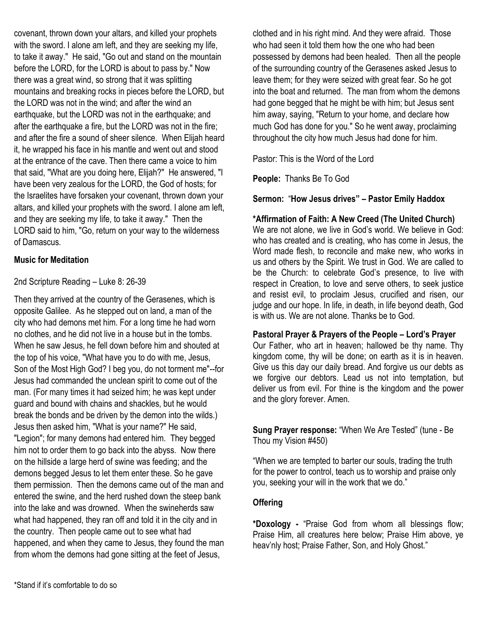covenant, thrown down your altars, and killed your prophets with the sword. I alone am left, and they are seeking my life, to take it away." He said, "Go out and stand on the mountain before the LORD, for the LORD is about to pass by." Now there was a great wind, so strong that it was splitting mountains and breaking rocks in pieces before the LORD, but the LORD was not in the wind; and after the wind an earthquake, but the LORD was not in the earthquake; and after the earthquake a fire, but the LORD was not in the fire; and after the fire a sound of sheer silence. When Elijah heard it, he wrapped his face in his mantle and went out and stood at the entrance of the cave. Then there came a voice to him that said, "What are you doing here, Elijah?" He answered, "I have been very zealous for the LORD, the God of hosts; for the Israelites have forsaken your covenant, thrown down your altars, and killed your prophets with the sword. I alone am left, and they are seeking my life, to take it away." Then the LORD said to him, "Go, return on your way to the wilderness of Damascus.

#### **Music for Meditation**

2nd Scripture Reading – Luke 8: 26-39

Then they arrived at the country of the Gerasenes, which is opposite Galilee. As he stepped out on land, a man of the city who had demons met him. For a long time he had worn no clothes, and he did not live in a house but in the tombs. When he saw Jesus, he fell down before him and shouted at the top of his voice, "What have you to do with me, Jesus, Son of the Most High God? I beg you, do not torment me"--for Jesus had commanded the unclean spirit to come out of the man. (For many times it had seized him; he was kept under guard and bound with chains and shackles, but he would break the bonds and be driven by the demon into the wilds.) Jesus then asked him, "What is your name?" He said, "Legion"; for many demons had entered him. They begged him not to order them to go back into the abyss. Now there on the hillside a large herd of swine was feeding; and the demons begged Jesus to let them enter these. So he gave them permission. Then the demons came out of the man and entered the swine, and the herd rushed down the steep bank into the lake and was drowned. When the swineherds saw what had happened, they ran off and told it in the city and in the country. Then people came out to see what had happened, and when they came to Jesus, they found the man from whom the demons had gone sitting at the feet of Jesus,

clothed and in his right mind. And they were afraid. Those who had seen it told them how the one who had been possessed by demons had been healed. Then all the people of the surrounding country of the Gerasenes asked Jesus to leave them; for they were seized with great fear. So he got into the boat and returned. The man from whom the demons had gone begged that he might be with him; but Jesus sent him away, saying, "Return to your home, and declare how much God has done for you." So he went away, proclaiming throughout the city how much Jesus had done for him.

Pastor: This is the Word of the Lord

**People:** Thanks Be To God

#### **Sermon:** "**How Jesus drives" – Pastor Emily Haddox**

#### **\*Affirmation of Faith: A New Creed (The United Church)**

We are not alone, we live in God's world. We believe in God: who has created and is creating, who has come in Jesus, the Word made flesh, to reconcile and make new, who works in us and others by the Spirit. We trust in God. We are called to be the Church: to celebrate God's presence, to live with respect in Creation, to love and serve others, to seek justice and resist evil, to proclaim Jesus, crucified and risen, our judge and our hope. In life, in death, in life beyond death, God is with us. We are not alone. Thanks be to God.

#### **Pastoral Prayer & Prayers of the People – Lord's Prayer**

Our Father, who art in heaven; hallowed be thy name. Thy kingdom come, thy will be done; on earth as it is in heaven. Give us this day our daily bread. And forgive us our debts as we forgive our debtors. Lead us not into temptation, but deliver us from evil. For thine is the kingdom and the power and the glory forever. Amen.

**Sung Prayer response:** "When We Are Tested" (tune - Be Thou my Vision #450)

"When we are tempted to barter our souls, trading the truth for the power to control, teach us to worship and praise only you, seeking your will in the work that we do."

#### **Offering**

**\*Doxology -** "Praise God from whom all blessings flow; Praise Him, all creatures here below; Praise Him above, ye heav'nly host; Praise Father, Son, and Holy Ghost."